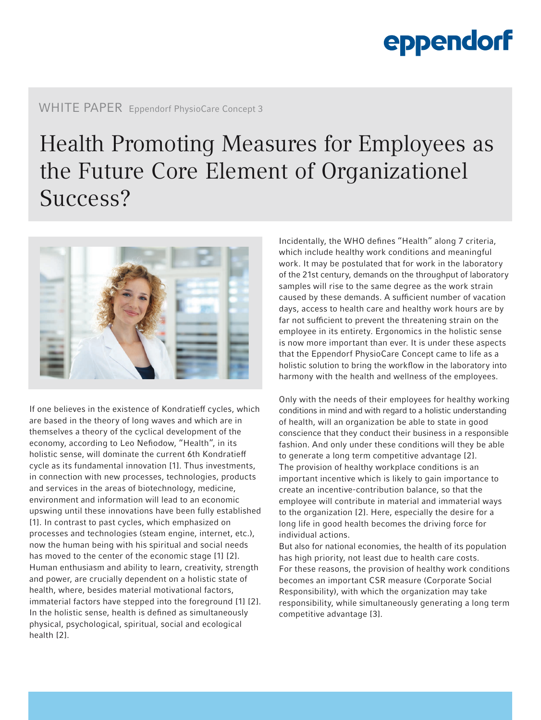## eppendorf

## WHITE PAPER Eppendorf PhysioCare Concept 3

## Health Promoting Measures for Employees as the Future Core Element of Organizationel Success?



If one believes in the existence of Kondratieff cycles, which are based in the theory of long waves and which are in themselves a theory of the cyclical development of the economy, according to Leo Nefiodow, "Health", in its holistic sense, will dominate the current 6th Kondratieff cycle as its fundamental innovation [1]. Thus investments, in connection with new processes, technologies, products and services in the areas of biotechnology, medicine, environment and information will lead to an economic upswing until these innovations have been fully established [1]. In contrast to past cycles, which emphasized on processes and technologies (steam engine, internet, etc.), now the human being with his spiritual and social needs has moved to the center of the economic stage [1] [2]. Human enthusiasm and ability to learn, creativity, strength and power, are crucially dependent on a holistic state of health, where, besides material motivational factors, immaterial factors have stepped into the foreground [1] [2]. In the holistic sense, health is defined as simultaneously physical, psychological, spiritual, social and ecological health [2].

Incidentally, the WHO defines "Health" along 7 criteria, which include healthy work conditions and meaningful work. It may be postulated that for work in the laboratory of the 21st century, demands on the throughput of laboratory samples will rise to the same degree as the work strain caused by these demands. A sufficient number of vacation days, access to health care and healthy work hours are by far not sufficient to prevent the threatening strain on the employee in its entirety. Ergonomics in the holistic sense is now more important than ever. It is under these aspects that the Eppendorf PhysioCare Concept came to life as a holistic solution to bring the workflow in the laboratory into harmony with the health and wellness of the employees.

Only with the needs of their employees for healthy working conditions in mind and with regard to a holistic understanding of health, will an organization be able to state in good conscience that they conduct their business in a responsible fashion. And only under these conditions will they be able to generate a long term competitive advantage [2]. The provision of healthy workplace conditions is an important incentive which is likely to gain importance to create an incentive-contribution balance, so that the employee will contribute in material and immaterial ways to the organization [2]. Here, especially the desire for a long life in good health becomes the driving force for individual actions.

But also for national economies, the health of its population has high priority, not least due to health care costs. For these reasons, the provision of healthy work conditions becomes an important CSR measure (Corporate Social Responsibility), with which the organization may take responsibility, while simultaneously generating a long term competitive advantage [3].